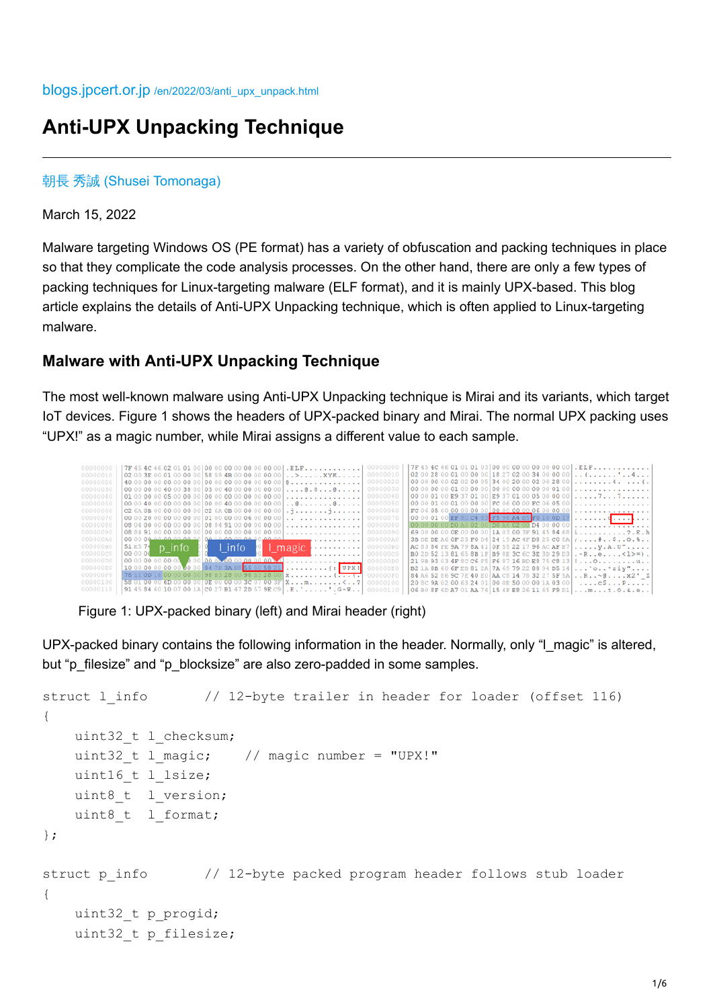# **Anti-UPX Unpacking Technique**

### 朝長 秀誠 [\(Shusei Tomonaga\)](https://blogs.jpcert.or.jp/en/shu_tom/)

March 15, 2022

Malware targeting Windows OS (PE format) has a variety of obfuscation and packing techniques in place so that they complicate the code analysis processes. On the other hand, there are only a few types of packing techniques for Linux-targeting malware (ELF format), and it is mainly UPX-based. This blog article explains the details of Anti-UPX Unpacking technique, which is often applied to Linux-targeting malware.

### **Malware with Anti-UPX Unpacking Technique**

The most well-known malware using Anti-UPX Unpacking technique is Mirai and its variants, which target IoT devices. Figure 1 shows the headers of UPX-packed binary and Mirai. The normal UPX packing uses "UPX!" as a magic number, while Mirai assigns a different value to each sample.



Figure 1: UPX-packed binary (left) and Mirai header (right)

UPX-packed binary contains the following information in the header. Normally, only "I\_magic" is altered, but "p\_filesize" and "p\_blocksize" are also zero-padded in some samples.

```
struct 1 info \frac{1}{2}-byte trailer in header for loader (offset 116)
{
   uint32 t l checksum;
   uint32 t l magic; // magic number = "UPX!"
   uint16 t l lsize;
   uint8 t l version;
   uint8 t l format;
};
struct p info // 12-byte packed program header follows stub loader{
   uint32 t p progid;
   uint32 t p filesize;
```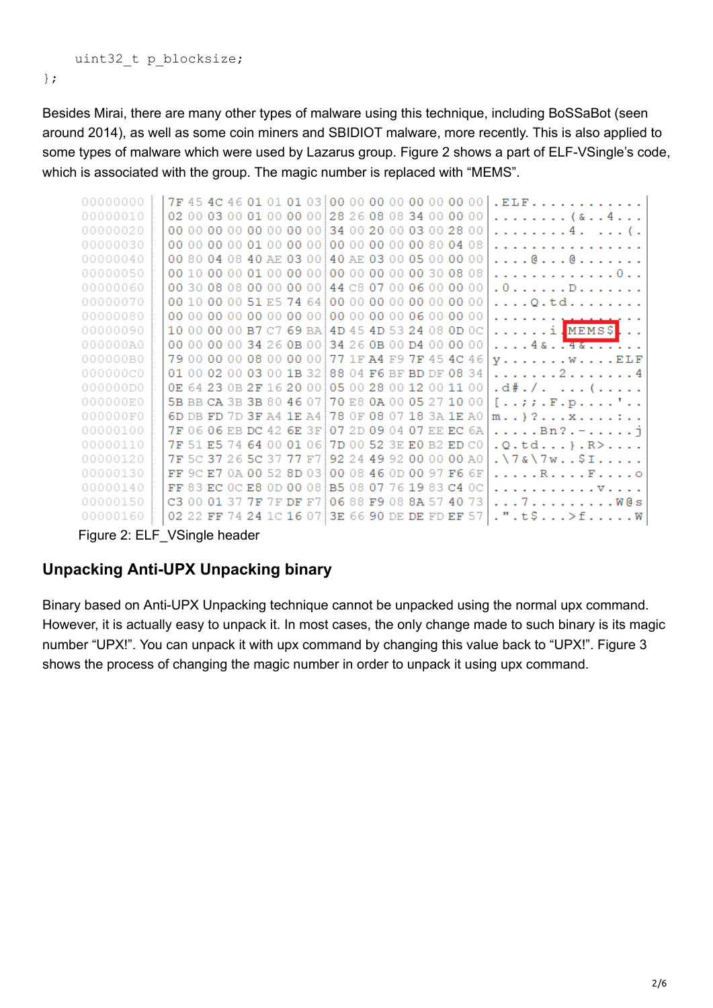```
uint32 t p blocksize;
```
};

Besides Mirai, there are many other types of malware using this technique, including BoSSaBot (seen around 2014), as well as some coin miners and SBIDIOT malware, more recently. This is also applied to some types of malware which were used by Lazarus group. Figure 2 shows a part of ELF-VSingle's code, which is associated with the group. The magic number is replaced with "MEMS".

| 00000000 | 7F 45 4C 46 01 01 01 03 00 00 00 00 00 00 00 00 00 |  |  |  |  |  |  |  | . ELF.                                                |
|----------|----------------------------------------------------|--|--|--|--|--|--|--|-------------------------------------------------------|
| 00000010 | 02 00 03 00 01 00 00 00 28 26 08 08 34 00 00 00    |  |  |  |  |  |  |  | . ( & 4                                               |
| 00000020 | 00 00 00 00 00 00 00 00 34 00 20 00 03 00 28 00    |  |  |  |  |  |  |  | . 4 ( .                                               |
| 00000030 |                                                    |  |  |  |  |  |  |  | .                                                     |
| 00000040 | 00 80 04 08 40 AE 03 00 40 AE 03 00 05 00 00 00    |  |  |  |  |  |  |  | . @ @                                                 |
| 00000050 |                                                    |  |  |  |  |  |  |  | . 0                                                   |
| 00000060 | 00 30 08 08 00 00 00 00 144 C8 07 00 06 00 00 00   |  |  |  |  |  |  |  | . 0 D                                                 |
| 00000070 | 00 10 00 00 51 E5 74 64 00 00 00 00 00 00 00 00    |  |  |  |  |  |  |  | . Q . td                                              |
| 00000080 |                                                    |  |  |  |  |  |  |  | . <u>.</u>                                            |
| 00000090 | 10 00 00 00 B7 C7 69 BA 4D 45 4D 53 24 08 0D 0C    |  |  |  |  |  |  |  | . i . MEMS\$                                          |
| 000000A0 | 00 00 00 00 34 26 0B 00 34 26 0B 00 D4 00 00 00    |  |  |  |  |  |  |  | . 4 & <del>4 &amp;</del>                              |
| 000000B0 | 79 00 00 00 08 00 00 00 77 1F A4 F9 7F 45 4C 46    |  |  |  |  |  |  |  | $y \ldots \ldots \ldots w \ldots \ldots E\mathbb{L}F$ |
| 000000C0 | 01 00 02 00 03 00 1B 32 88 04 F6 BF BD DF 08 34    |  |  |  |  |  |  |  | . 2 4                                                 |
| 000000D0 | 0E 64 23 0B 2F 16 20 00 05 00 28 00 12 00 11 00    |  |  |  |  |  |  |  | .d#./. (                                              |
| 000000E0 | 5B BB CA 3B 3B 80 46 07 70 E8 0A 00 05 27 10 00    |  |  |  |  |  |  |  | [77 . F . p ] .                                       |
| 000000F0 | 6D DB FD 7D 3F A4 1E A4 78 OF 08 07 18 3A 1E A0    |  |  |  |  |  |  |  | m } ? x :                                             |
| 00000100 | 7F 06 06 EB DC 42 6E 3F 07 2D 09 04 07 EE EC 6A    |  |  |  |  |  |  |  | . Bn? . - j                                           |
| 00000110 | 7F 51 E5 74 64 00 01 06 7D 00 52 3E E0 B2 ED C0    |  |  |  |  |  |  |  | $. Q.td$ $. R > $                                     |
| 00000120 | 7F 5C 37 26 5C 37 77 F7 92 24 49 92 00 00 00 A0    |  |  |  |  |  |  |  | $. \ 7 \& 7 \& 7 \&$                                  |
| 00000130 | FF 9C E7 0A 00 52 8D 03 00 08 46 0D 00 97 F6 6F    |  |  |  |  |  |  |  | . R F 0                                               |
| 00000140 | FF 83 EC 0C E8 0D 00 08 B5 08 07 76 19 83 C4 0C    |  |  |  |  |  |  |  | . V                                                   |
| 00000150 | C3 00 01 37 7F 7F DF F7 06 88 F9 08 8A 57 40 73    |  |  |  |  |  |  |  | . 7 W@s                                               |
| 00000160 | 02 22 FF 74 24 1C 16 07 3E 66 90 DE DE FD EF 57    |  |  |  |  |  |  |  | .".t\$>fW                                             |
| .        |                                                    |  |  |  |  |  |  |  |                                                       |

Figure 2: ELF\_VSingle header

# **Unpacking Anti-UPX Unpacking binary**

Binary based on Anti-UPX Unpacking technique cannot be unpacked using the normal upx command. However, it is actually easy to unpack it. In most cases, the only change made to such binary is its magic number "UPX!". You can unpack it with upx command by changing this value back to "UPX!". Figure 3 shows the process of changing the magic number in order to unpack it using upx command.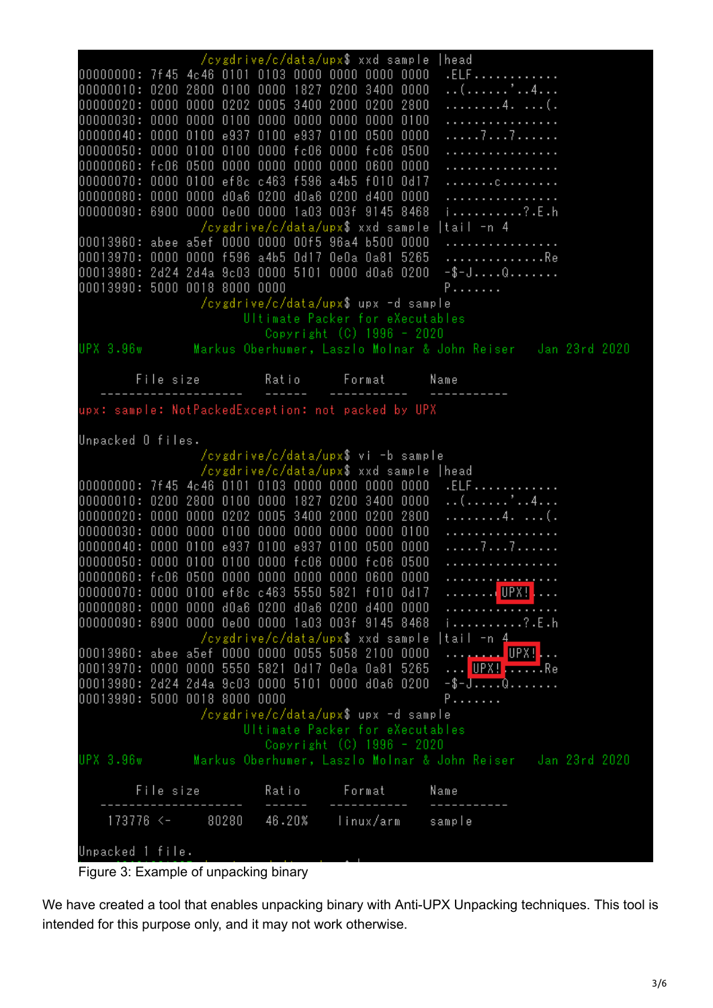|                                                                                                        | /cygdrive/c/data/upx\$ xxd sample    |                                     | head                                                                    |
|--------------------------------------------------------------------------------------------------------|--------------------------------------|-------------------------------------|-------------------------------------------------------------------------|
| 00000000: 7f45 4c46 0101 0103 0000 0000 0000                                                           |                                      | 0000                                | .ELF                                                                    |
| 00000010: 0200 2800 0100 0000 1827 0200 3400                                                           |                                      | 0000                                | . . ( ' 4                                                               |
| 00000020: 0000 0000 0202 0005 3400 2000 0200 2800                                                      |                                      |                                     | . 4 ( .                                                                 |
|                                                                                                        |                                      |                                     | .                                                                       |
| 00000040: 0000 0100 e937 0100 e937 0100 0500 0000                                                      |                                      |                                     | . 7 7                                                                   |
| 00000050: 0000 0100 0100 0000 fc06 0000 fc06                                                           |                                      | 0500                                | .                                                                       |
| 00000060: fc06 0500 0000 0000 0000                                                                     |                                      | 0000 0600<br>0000                   | .                                                                       |
| 00000070: 0000 0100 ef8c c463 f596 a4b5 f010<br>00000080: 0000 0000 d0a6 0200 d0a6 0200 d400 0000      |                                      | 0d17                                | . C<br>.                                                                |
| 00000090: 6900 0000 0e00 0000 1a03 003f 9145 8468                                                      |                                      |                                     | i ? . E . h                                                             |
|                                                                                                        | /cygdrive/c/data/upx\$ xxd sample    |                                     | tail -n 4                                                               |
| 00013960: abee a5ef 0000 0000 00f5 96a4 b500 0000                                                      |                                      |                                     | .                                                                       |
| 00013970: 0000 0000 f596 a4b5 0d17 0e0a 0a81 5265                                                      |                                      |                                     | . Re                                                                    |
| 00013980: 2d24 2d4a 9c03 0000 5101 0000 d0a6 0200                                                      |                                      |                                     | $-$ \$-JQ                                                               |
| 00013990: 5000 0018 8000 0000                                                                          |                                      |                                     | P                                                                       |
|                                                                                                        | /cygdrive/c/data/upx\$ upx -d sample |                                     |                                                                         |
|                                                                                                        | Ultimate Packer for eXecutables      |                                     |                                                                         |
|                                                                                                        |                                      | Copyright (C) 1996 - 2020           |                                                                         |
|                                                                                                        |                                      |                                     | UPX 3.96w Markus Oberhumer, Laszlo Molnar & John Reiser - Jan 23rd 2020 |
|                                                                                                        |                                      |                                     |                                                                         |
| Filesize Ratio Format Name                                                                             |                                      |                                     |                                                                         |
| upx: sample: NotPackedException: not packed by UPX                                                     |                                      |                                     |                                                                         |
|                                                                                                        |                                      |                                     |                                                                         |
| Unpacked Offiles.                                                                                      |                                      |                                     |                                                                         |
|                                                                                                        |                                      |                                     |                                                                         |
|                                                                                                        |                                      | /cygdrive/c/data/upx\$ vi -b sample |                                                                         |
|                                                                                                        | /cygdrive/c/data/upx\$ xxd sample    |                                     | head                                                                    |
| 00000000: 7f45 4c46 0101 0103 0000 0000 0000 0000                                                      |                                      |                                     | .ELF                                                                    |
| 00000010: 0200 2800 0100 0000 1827 0200 3400 0000                                                      |                                      |                                     | . 4.                                                                    |
| 00000020: 0000 0000 0202 0005 3400 2000 0200 2800                                                      |                                      |                                     | . 4 ( .                                                                 |
|                                                                                                        |                                      |                                     | .                                                                       |
| 0000 0100 e937 0100 e937 0100 0500<br>00000040:                                                        |                                      | 0000                                | . 7 7                                                                   |
| 0000 0100 0100 0000 fc06 0000 fc06<br>00000050:                                                        |                                      | 0500                                | .                                                                       |
| 00000060: fc06 0500 0000 0000 0000 0000 0600                                                           |                                      | 0000                                | . <u>.</u>                                                              |
| 00000070: 0000 0100 ef8c c463 5550 5821 f010 0d17<br>00000080: 0000 0000 d0a6 0200 d0a6 0200 d400 0000 |                                      |                                     | . UPX!<br>. <del>.</del>                                                |
| 00000090: 6900 0000 0e00 0000 1a03 003f 9145 8468                                                      |                                      |                                     | i?E.h                                                                   |
|                                                                                                        | /cygdrive/c/data/upx\$ xxd sample    |                                     | tail -n 4                                                               |
| 00013960: abee a5ef 0000 0000 0055 5058 2100 0000                                                      |                                      |                                     | UPX!<br>. <u>.</u>                                                      |
| 00013970: 0000 0000 5550 5821 0d17 0e0a 0a81 5265                                                      |                                      |                                     | <mark>UPX! </mark> Re                                                   |
| 00013980: 2d24 2d4a 9c03 0000 5101 0000 d0a6 0200                                                      |                                      |                                     | $-\frac{1}{2}-\frac{1}{2}\ldots$                                        |
| 00013990: 5000 0018 8000 0000                                                                          |                                      |                                     | P.                                                                      |
|                                                                                                        | /cygdrive/c/data/upx\$ upx -d sample |                                     |                                                                         |
|                                                                                                        | Ultimate Packer for eXecutables      |                                     |                                                                         |
|                                                                                                        |                                      | Copyright (C) 1996 - 2020           |                                                                         |
|                                                                                                        |                                      |                                     | UPX 3.96w Markus Oberhumer, Laszlo Molnar & John Reiser – Jan 23rd 2020 |
| File size                                                                                              | Ratio                                | Format                              | Name                                                                    |
| 173776 <-<br>80280                                                                                     | 46.20%                               | linux/arm                           | sample                                                                  |



We have created a tool that enables unpacking binary with Anti-UPX Unpacking techniques. This tool is intended for this purpose only, and it may not work otherwise.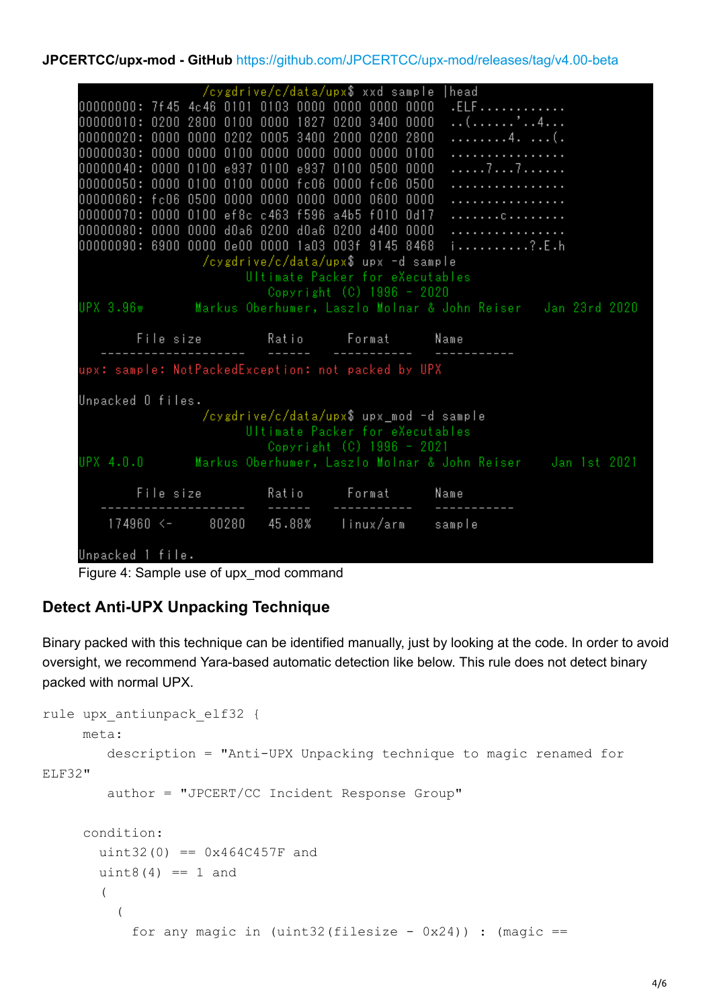#### **JPCERTCC/upx-mod - GitHub** <https://github.com/JPCERTCC/upx-mod/releases/tag/v4.00-beta>

```
/cygdrive/c/data/upx$ xxd sample |head
00000000: 7f45 4c46 0101 0103 0000 0000 0000 0000
                                                              .ELF . . . . . . . . . . . .
00000010: 0200 2800 0100 0000 1827 0200 3400 0000
                                                              . . ( . . . . . . ' . . 4 . . .
00000020: 0000 0000 0202 0005 3400 2000 0200 2800
                                                              . . . . . . . . . 4 . . . . . ( .
{\color{red} 00000030:} {\color{red} 0000} {\color{red} 0000} {\color{red} 0000} {\color{red} 0100} {\color{red} 0000} {\color{red} 0000} {\color{red} 0000} {\color{red} 0000} {\color{red} 0100} {\color{red} 0100}. . . . . . . . . . . . . . . . .
00000040: 0000 0100 e937 0100 e937 0100 0500 0000
                                                              . . . . . 7 . . . 7 . . . . . .
00000050: 0000 0100 0100 0000 fc06 0000 fc06 0500
00000060: fc06 0500 0000 0000 0000 0000 0600 0000
00000070: 0000 0100 ef8c c463 f596 a4b5 f010 0d17
                                                              . . . . . . . . . . . . . . . .
00000080: 0000 0000 d0a6 0200 d0a6 0200 d400 0000
                                                              . . . . . . . . . . . . . . . . .
00000090: 6900 0000 0e00 0000 1a03 003f 9145 8468 i..........?.E.h
                    /cygdrive/c/data/upx$ upx -d sample
                            Ultimate Packer for eXecutables
                               Copyright (C) 1996 - 2020
UPX 3.96w
                   Markus Oberhumer, Laszlo Molnar & John Reiser Jan 23rd 2020
         File size
                               Ratio
                                             Format
                                                           Name
upx: sample: NotPackedException: not packed by UPX
Unpacked 0 files.
                    /cygdrive/c/data/upx$ upx_mod -d sample
                            Ultimate Packer for eXecutables
                               Copyright (C) 1996 - 2021
                   Markus Oberhumer, Laszlo Molnar & John Reiser Jan 1st 2021
UPX 4.0.0
         File size
                               Ratio
                                             Format
                                                            Name
    174960 < -45.88%
                                            linux/arm
                     80280
                                                            sample
Unpacked 1 file.
```
Figure 4: Sample use of upx\_mod command

# **Detect Anti-UPX Unpacking Technique**

Binary packed with this technique can be identified manually, just by looking at the code. In order to avoid oversight, we recommend Yara-based automatic detection like below. This rule does not detect binary packed with normal UPX.

```
rule upx antiunpack elf32 {
      meta:
         description = "Anti-UPX Unpacking technique to magic renamed for
ELF32"
         author = "JPCERT/CC Incident Response Group"
      condition:
       uint32(0) == 0x464C457F anduint8(4) == 1 and
\overline{\phantom{a}}\overline{a}for any magic in (uint32(filesize - 0x24)) : (magic ==
```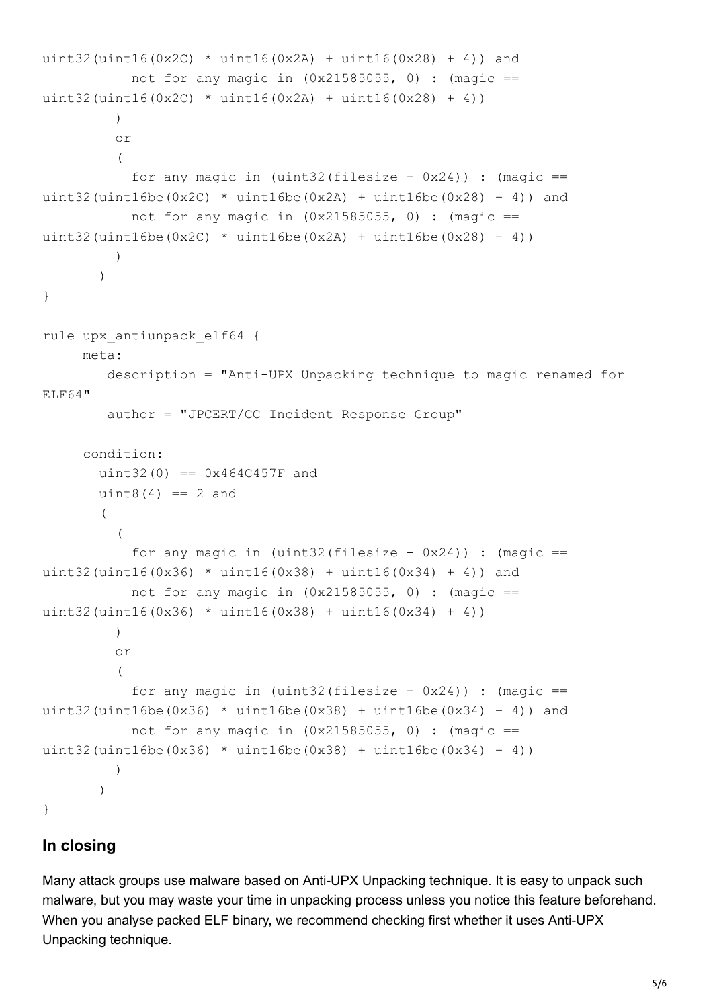```
uint32(uint16(0x2C) * uint16(0x2A) + uint16(0x28) + 4)) and
           not for any magic in (0x21585055, 0) : (magic ==
uint32(uint16(0x2C) * uint16(0x2A) + uint16(0x28) + 4))
) or
\overline{a}for any magic in (uint32(filesize - 0x24)) : (magic ==
uint32(uint16be(0x2C) \star uint16be(0x2A) + uint16be(0x28) + 4)) and
           not for any magic in (0x21585055, 0) : (magic ==
uint32(uint16be(0x2C) * uint16be(0x2A) + uint16be(0x28) + 4))
) )
}
rule upx_antiunpack_elf64 {
     meta:
         description = "Anti-UPX Unpacking technique to magic renamed for
ELF64"
         author = "JPCERT/CC Incident Response Group"
      condition:
       uint32(0) == 0x464C457F anduint8(4) == 2 and\overline{\phantom{a}}\overline{a}for any magic in (uint32(filesize - 0x24)) : (magic ==
uint32(uint16(0x36) * uint16(0x38) + uint16(0x34) + 4)) and
           not for any magic in (0x21585055, 0) : (magic ==
uint32(uint16(0x36) * uint16(0x38) + uint16(0x34) + 4))
) or
\overline{a}for any magic in (uint32(filesize - 0x24)) : (magic ==
uint32(uint16be(0x36) * uint16be(0x38) + uint16be(0x34) + 4)) and
           not for any magic in (0x21585055, 0) : (magic ==
uint32(uint16be(0x36) * uint16be(0x38) + uint16be(0x34) + 4))
) )
}
```
# **In closing**

Many attack groups use malware based on Anti-UPX Unpacking technique. It is easy to unpack such malware, but you may waste your time in unpacking process unless you notice this feature beforehand. When you analyse packed ELF binary, we recommend checking first whether it uses Anti-UPX Unpacking technique.